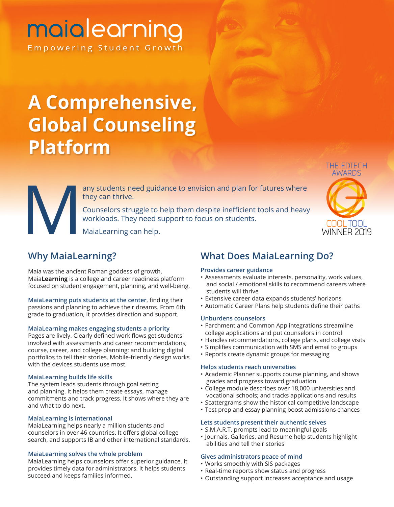## maialearning Empowering Student Growth

# **A Comprehensive, Global Counseling Platform**

THE EDTECH COOL TOOL **WINNER 2019** 

they can thrive.

any students need guidance to envision and plan for futures where<br>they can thrive.<br>Counselors struggle to help them despite inefficient tools and heavy<br>workloads. They need support to focus on students.<br>MaiaLearning can he Counselors struggle to help them despite inefficient tools and heavy workloads. They need support to focus on students.

MaiaLearning can help.

### **Why MaiaLearning?**

Maia was the ancient Roman goddess of growth. Maia**Learning** is a college and career readiness platform focused on student engagement, planning, and well-being.

**MaiaLearning puts students at the center**, finding their passions and planning to achieve their dreams. From 6th grade to graduation, it provides direction and support.

### **MaiaLearning makes engaging students a priority**

Pages are lively. Clearly defined work flows get students involved with assessments and career recommendations; course, career, and college planning; and building digital portfolios to tell their stories. Mobile-friendly design works with the devices students use most.

### **MaiaLearning builds life skills**

The system leads students through goal setting and planning. It helps them create essays, manage commitments and track progress. It shows where they are and what to do next.

### **MaiaLearning is international**

MaiaLearning helps nearly a million students and counselors in over 46 countries. It offers global college search, and supports IB and other international standards.

### **MaiaLearning solves the whole problem**

MaiaLearning helps counselors offer superior guidance. It provides timely data for administrators. It helps students succeed and keeps families informed.

### **What Does MaiaLearning Do?**

### **Provides career guidance**

- Assessments evaluate interests, personality, work values, and social / emotional skills to recommend careers where students will thrive
- Extensive career data expands students' horizons
- Automatic Career Plans help students define their paths

### **Unburdens counselors**

- Parchment and Common App integrations streamline college applications and put counselors in control
- Handles recommendations, college plans, and college visits
- Simplifies communication with SMS and email to groups
- Reports create dynamic groups for messaging

### **Helps students reach universities**

- Academic Planner supports course planning, and shows grades and progress toward graduation
- College module describes over 18,000 universities and vocational schools; and tracks applications and results
- Scattergrams show the historical competitive landscape
- Test prep and essay planning boost admissions chances

### **Lets students present their authentic selves**

- S.M.A.R.T. prompts lead to meaningful goals
- Journals, Galleries, and Resume help students highlight abilities and tell their stories

### **Gives administrators peace of mind**

- Works smoothly with SIS packages
- Real-time reports show status and progress
- Outstanding support increases acceptance and usage